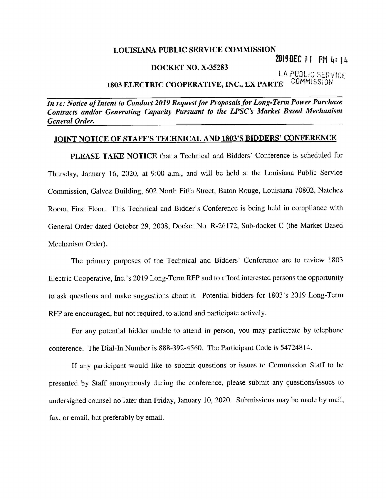## LOUISIANA PUBLIC SERVICE COMMISSION

2019 DEC 11 PM 4: 14

## DOCKET NO. X-35283

LA PUBLIC SERVICE 1803 ELECTRIC COOPERATIVE, INC., EX PARTE COMMISSION

In re: Notice of Intent to Conduct 2019 Request for Proposals for Long-Term Power Purchase Contracts and/or Generating Capacity Pursuant to the LPSC's Market Based Mechanism General Order.

## JOINT NOTICE OF STAFF'S TECHNICAL AND 1803'S BIDDERS' CONFERENCE

PLEASE TAKE NOTICE that a Technical and Bidders' Conference is scheduled for Thursday, January 16, 2020, at 9:00 a.m., and will be held at the Louisiana Public Service Commission, Galvez Building, 602 North Fifth Street, Baton Rouge, Louisiana 70802, Natchez Room, First Floor. This Technical and Bidder's Conference is being held in compliance with General Order dated October 29, 2008, Docket No. R—26l72, Sub-docket C (the Market Based Mechanism Order).

The primary purposes of the Technical and Bidders' Conference are to review 1803 Electric Cooperative, Inc.'s 2019 Long—Term RFP and to afford interested persons the opportunity to ask questions and make suggestions about it. Potential bidders for 1803's 2019 Long—Term RFP are encouraged, but not required, to attend and participate actively.

For any potential bidder unable to attend in person, you may participate by telephone conference. The Dial—In Number is 888-392-4560. The Participant Code is 54724814.

If any participant would like to submit questions or issues to Commission Staff to be presented by Staff anonymously during the conference, please submit any questions/issues to undersigned counsel no later than Friday, January 10, 2020. Submissions may be made by mail, fax, or email, but preferably by email.